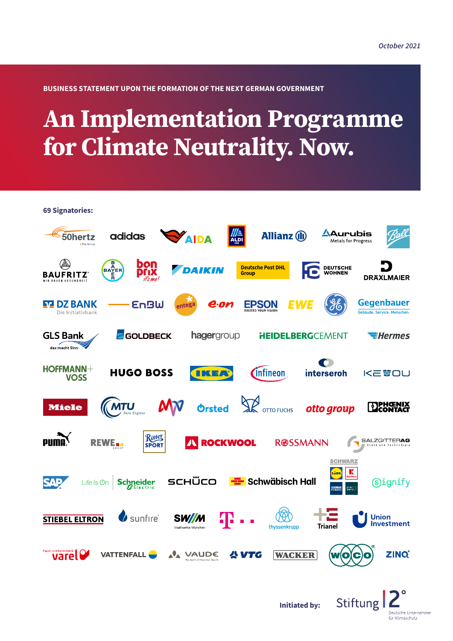.<br>Deutsche Unternehmer für Klimaschutz

**BUSINESS STATEMENT UPON THE FORMATION OF THE NEXT GERMAN GOVERNMENT**

# **An Implementation Programme for Climate Neutrality. Now.**

**69 Signatories:**

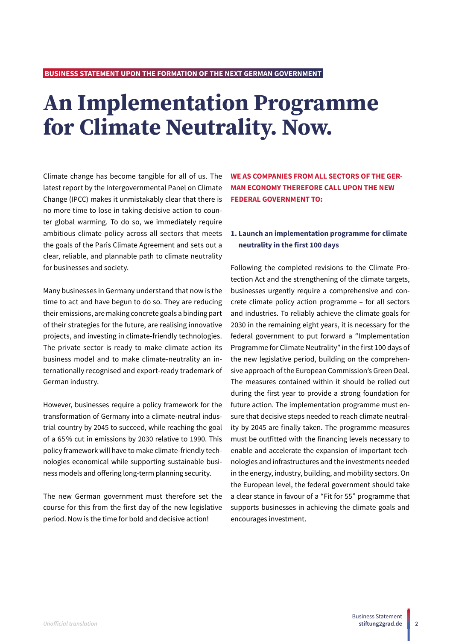# **An Implementation Programme for Climate Neutrality. Now.**

Climate change has become tangible for all of us. The latest report by the Intergovernmental Panel on Climate Change (IPCC) makes it unmistakably clear that there is no more time to lose in taking decisive action to counter global warming. To do so, we immediately require ambitious climate policy across all sectors that meets the goals of the Paris Climate Agreement and sets out a clear, reliable, and plannable path to climate neutrality for businesses and society.

Many businesses in Germany understand that now is the time to act and have begun to do so. They are reducing their emissions, are making concrete goals a binding part of their strategies for the future, are realising innovative projects, and investing in climate-friendly technologies. The private sector is ready to make climate action its business model and to make climate-neutrality an internationally recognised and export-ready trademark of German industry.

However, businesses require a policy framework for the transformation of Germany into a climate-neutral industrial country by 2045 to succeed, while reaching the goal of a 65% cut in emissions by 2030 relative to 1990. This policy framework will have to make climate-friendly technologies economical while supporting sustainable business models and offering long-term planning security.

The new German government must therefore set the course for this from the first day of the new legislative period. Now is the time for bold and decisive action!

**WE AS COMPANIES FROM ALL SECTORS OF THE GER-MAN ECONOMY THEREFORE CALL UPON THE NEW FEDERAL GOVERNMENT TO:**

# **1. Launch an implementation programme for climate neutrality in the first 100 days**

Following the completed revisions to the Climate Protection Act and the strengthening of the climate targets, businesses urgently require a comprehensive and concrete climate policy action programme – for all sectors and industries. To reliably achieve the climate goals for 2030 in the remaining eight years, it is necessary for the federal government to put forward a "Implementation Programme for Climate Neutrality" in the first 100 days of the new legislative period, building on the comprehensive approach of the European Commission's Green Deal. The measures contained within it should be rolled out during the first year to provide a strong foundation for future action. The implementation programme must ensure that decisive steps needed to reach climate neutrality by 2045 are finally taken. The programme measures must be outfitted with the financing levels necessary to enable and accelerate the expansion of important technologies and infrastructures and the investments needed in the energy, industry, building, and mobility sectors. On the European level, the federal government should take a clear stance in favour of a "Fit for 55" programme that supports businesses in achieving the climate goals and encourages investment.

**2**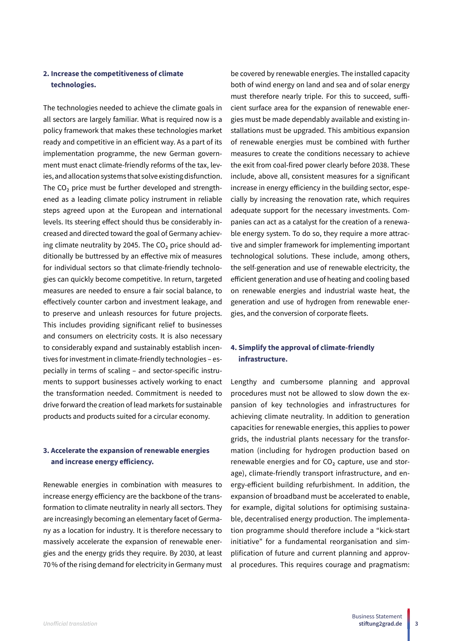# **2. Increase the competitiveness of climate technologies.**

The technologies needed to achieve the climate goals in all sectors are largely familiar. What is required now is a policy framework that makes these technologies market ready and competitive in an efficient way. As a part of its implementation programme, the new German government must enact climate-friendly reforms of the tax, levies, and allocation systems that solve existing disfunction. The CO<sub>2</sub> price must be further developed and strengthened as a leading climate policy instrument in reliable steps agreed upon at the European and international levels. Its steering effect should thus be considerably increased and directed toward the goal of Germany achieving climate neutrality by 2045. The  $CO<sub>2</sub>$  price should additionally be buttressed by an effective mix of measures for individual sectors so that climate-friendly technologies can quickly become competitive. In return, targeted measures are needed to ensure a fair social balance, to effectively counter carbon and investment leakage, and to preserve and unleash resources for future projects. This includes providing significant relief to businesses and consumers on electricity costs. It is also necessary to considerably expand and sustainably establish incentives for investment in climate-friendly technologies – especially in terms of scaling – and sector-specific instruments to support businesses actively working to enact the transformation needed. Commitment is needed to drive forward the creation of lead markets for sustainable products and products suited for a circular economy.

## **3. Accelerate the expansion of renewable energies and increase energy efficiency.**

Renewable energies in combination with measures to increase energy efficiency are the backbone of the transformation to climate neutrality in nearly all sectors. They are increasingly becoming an elementary facet of Germany as a location for industry. It is therefore necessary to massively accelerate the expansion of renewable energies and the energy grids they require. By 2030, at least 70% of the rising demand for electricity in Germany must

be covered by renewable energies. The installed capacity both of wind energy on land and sea and of solar energy must therefore nearly triple. For this to succeed, sufficient surface area for the expansion of renewable energies must be made dependably available and existing installations must be upgraded. This ambitious expansion of renewable energies must be combined with further measures to create the conditions necessary to achieve the exit from coal-fired power clearly before 2038. These include, above all, consistent measures for a significant increase in energy efficiency in the building sector, especially by increasing the renovation rate, which requires adequate support for the necessary investments. Companies can act as a catalyst for the creation of a renewable energy system. To do so, they require a more attractive and simpler framework for implementing important technological solutions. These include, among others, the self-generation and use of renewable electricity, the efficient generation and use of heating and cooling based on renewable energies and industrial waste heat, the generation and use of hydrogen from renewable energies, and the conversion of corporate fleets.

## **4. Simplify the approval of climate-friendly infrastructure.**

Lengthy and cumbersome planning and approval procedures must not be allowed to slow down the expansion of key technologies and infrastructures for achieving climate neutrality. In addition to generation capacities for renewable energies, this applies to power grids, the industrial plants necessary for the transformation (including for hydrogen production based on renewable energies and for  $CO<sub>2</sub>$  capture, use and storage), climate-friendly transport infrastructure, and energy-efficient building refurbishment. In addition, the expansion of broadband must be accelerated to enable, for example, digital solutions for optimising sustainable, decentralised energy production. The implementation programme should therefore include a "kick-start initiative" for a fundamental reorganisation and simplification of future and current planning and approval procedures. This requires courage and pragmatism:

**3**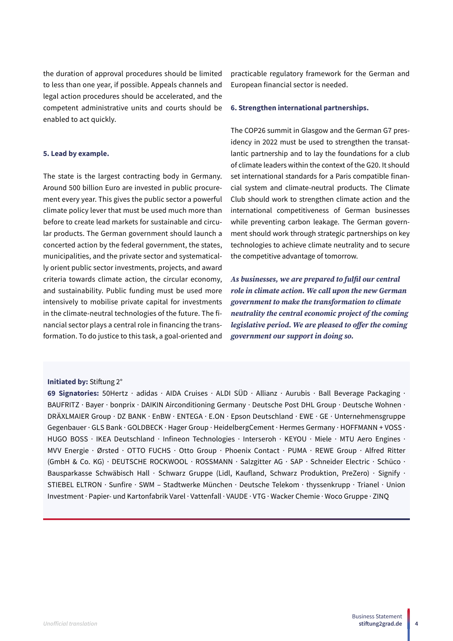the duration of approval procedures should be limited to less than one year, if possible. Appeals channels and legal action procedures should be accelerated, and the competent administrative units and courts should be enabled to act quickly.

#### **5. Lead by example.**

The state is the largest contracting body in Germany. Around 500 billion Euro are invested in public procurement every year. This gives the public sector a powerful climate policy lever that must be used much more than before to create lead markets for sustainable and circular products. The German government should launch a concerted action by the federal government, the states, municipalities, and the private sector and systematically orient public sector investments, projects, and award criteria towards climate action, the circular economy, and sustainability. Public funding must be used more intensively to mobilise private capital for investments in the climate-neutral technologies of the future. The financial sector plays a central role in financing the transformation. To do justice to this task, a goal-oriented and

#### **Initiated by:** Stiftung 2°

**69 Signatories:** 50Hertz · adidas · AIDA Cruises · ALDI SÜD · Allianz · Aurubis · Ball Beverage Packaging · BAUFRITZ · Bayer · bonprix · DAIKIN Airconditioning Germany · Deutsche Post DHL Group · Deutsche Wohnen · DRÄXLMAIER Group · DZ BANK · EnBW · ENTEGA · E.ON · Epson Deutschland · EWE · GE · Unternehmensgruppe Gegenbauer · GLS Bank · GOLDBECK · Hager Group · HeidelbergCement · Hermes Germany · HOFFMANN + VOSS · HUGO BOSS · IKEA Deutschland · Infineon Technologies · Interseroh · KEYOU · Miele · MTU Aero Engines · MVV Energie · Ørsted · OTTO FUCHS · Otto Group · Phoenix Contact · PUMA · REWE Group · Alfred Ritter (GmbH & Co. KG) · DEUTSCHE ROCKWOOL · ROSSMANN · Salzgitter AG · SAP · Schneider Electric · Schüco · Bausparkasse Schwäbisch Hall · Schwarz Gruppe (Lidl, Kaufland, Schwarz Produktion, PreZero) · Signify · STIEBEL ELTRON · Sunfire · SWM – Stadtwerke München · Deutsche Telekom · thyssenkrupp · Trianel · Union Investment · Papier- und Kartonfabrik Varel · Vattenfall · VAUDE · VTG · Wacker Chemie · Woco Gruppe · ZINQ

practicable regulatory framework for the German and European financial sector is needed.

#### **6. Strengthen international partnerships.**

The COP26 summit in Glasgow and the German G7 presidency in 2022 must be used to strengthen the transatlantic partnership and to lay the foundations for a club of climate leaders within the context of the G20. It should set international standards for a Paris compatible financial system and climate-neutral products. The Climate Club should work to strengthen climate action and the international competitiveness of German businesses while preventing carbon leakage. The German government should work through strategic partnerships on key technologies to achieve climate neutrality and to secure the competitive advantage of tomorrow.

*As businesses, we are prepared to fulfil our central role in climate action. We call upon the new German government to make the transformation to climate neutrality the central economic project of the coming legislative period. We are pleased to offer the coming government our support in doing so.*